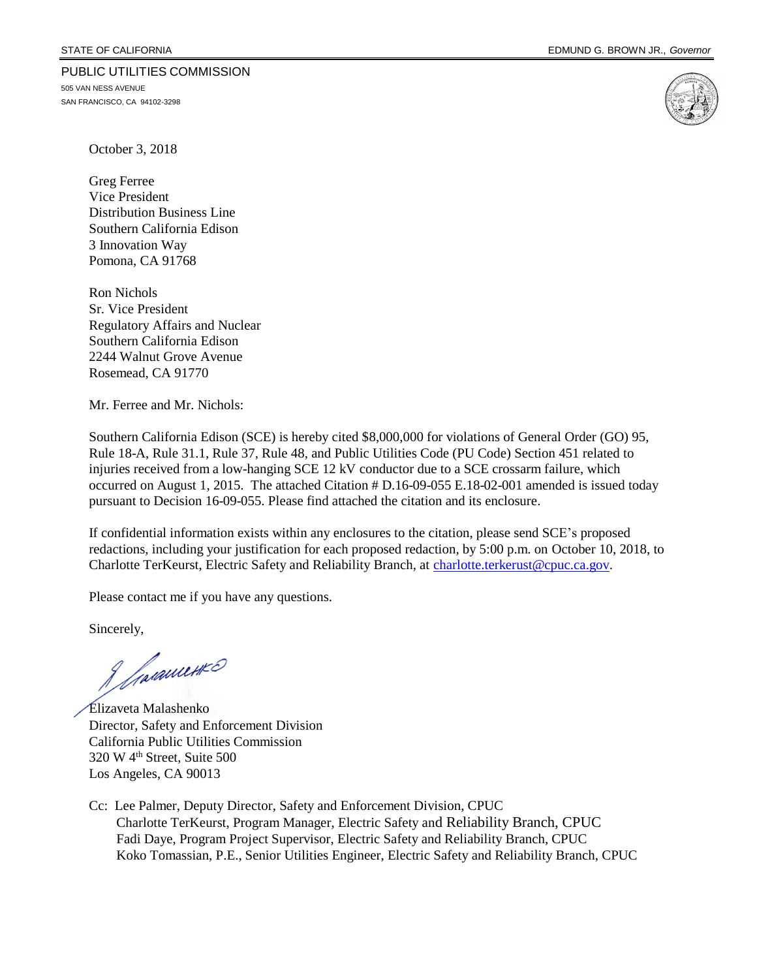#### PUBLIC UTILITIES COMMISSION

505 VAN NESS AVENUE SAN FRANCISCO, CA 94102-3298



October 3, 2018

Greg Ferree Vice President Distribution Business Line Southern California Edison 3 Innovation Way Pomona, CA 91768

Ron Nichols Sr. Vice President Regulatory Affairs and Nuclear Southern California Edison 2244 Walnut Grove Avenue Rosemead, CA 91770

Mr. Ferree and Mr. Nichols:

Southern California Edison (SCE) is hereby cited \$8,000,000 for violations of General Order (GO) 95, Rule 18-A, Rule 31.1, Rule 37, Rule 48, and Public Utilities Code (PU Code) Section 451 related to injuries received from a low-hanging SCE 12 kV conductor due to a SCE crossarm failure, which occurred on August 1, 2015. The attached Citation # D.16-09-055 E.18-02-001 amended is issued today pursuant to Decision 16-09-055. Please find attached the citation and its enclosure.

If confidential information exists within any enclosures to the citation, please send SCE's proposed redactions, including your justification for each proposed redaction, by 5:00 p.m. on October 10, 2018, to Charlotte TerKeurst, Electric Safety and Reliability Branch, at [charlotte.terkerust@cpuc.ca.gov.](mailto:charlotte.terkerust@cpuc.ca.gov)

Please contact me if you have any questions.

Sincerely,

Javanuerro

Elizaveta Malashenko Director, Safety and Enforcement Division California Public Utilities Commission 320 W 4th Street, Suite 500 Los Angeles, CA 90013

Cc: Lee Palmer, Deputy Director, Safety and Enforcement Division, CPUC Charlotte TerKeurst, Program Manager, Electric Safety and Reliability Branch, CPUC Fadi Daye, Program Project Supervisor, Electric Safety and Reliability Branch, CPUC Koko Tomassian, P.E., Senior Utilities Engineer, Electric Safety and Reliability Branch, CPUC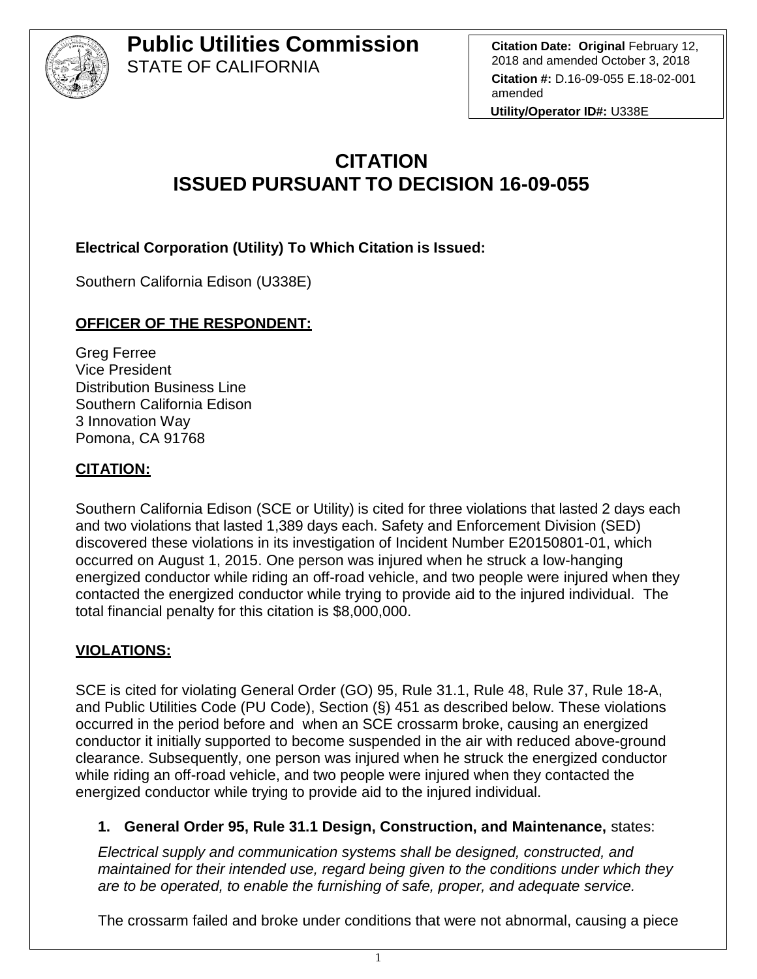

**Citation Date: Original** February 12, 2018 and amended October 3, 2018 **Citation #:** D.16-09-055 E.18-02-001 amended

**Utility/Operator ID#:** U338E

# **CITATION ISSUED PURSUANT TO DECISION 16-09-055**

**Electrical Corporation (Utility) To Which Citation is Issued:** 

Southern California Edison (U338E)

## **OFFICER OF THE RESPONDENT:**

Greg Ferree Vice President Distribution Business Line Southern California Edison 3 Innovation Way Pomona, CA 91768

## **CITATION:**

Southern California Edison (SCE or Utility) is cited for three violations that lasted 2 days each and two violations that lasted 1,389 days each. Safety and Enforcement Division (SED) discovered these violations in its investigation of Incident Number E20150801-01, which occurred on August 1, 2015. One person was injured when he struck a low-hanging energized conductor while riding an off-road vehicle, and two people were injured when they contacted the energized conductor while trying to provide aid to the injured individual. The total financial penalty for this citation is \$8,000,000.

## **VIOLATIONS:**

SCE is cited for violating General Order (GO) 95, Rule 31.1, Rule 48, Rule 37, Rule 18-A, and Public Utilities Code (PU Code), Section (§) 451 as described below. These violations occurred in the period before and when an SCE crossarm broke, causing an energized conductor it initially supported to become suspended in the air with reduced above-ground clearance. Subsequently, one person was injured when he struck the energized conductor while riding an off-road vehicle, and two people were injured when they contacted the energized conductor while trying to provide aid to the injured individual.

#### **1. General Order 95, Rule 31.1 Design, Construction, and Maintenance,** states:

*Electrical supply and communication systems shall be designed, constructed, and maintained for their intended use, regard being given to the conditions under which they are to be operated, to enable the furnishing of safe, proper, and adequate service.*

The crossarm failed and broke under conditions that were not abnormal, causing a piece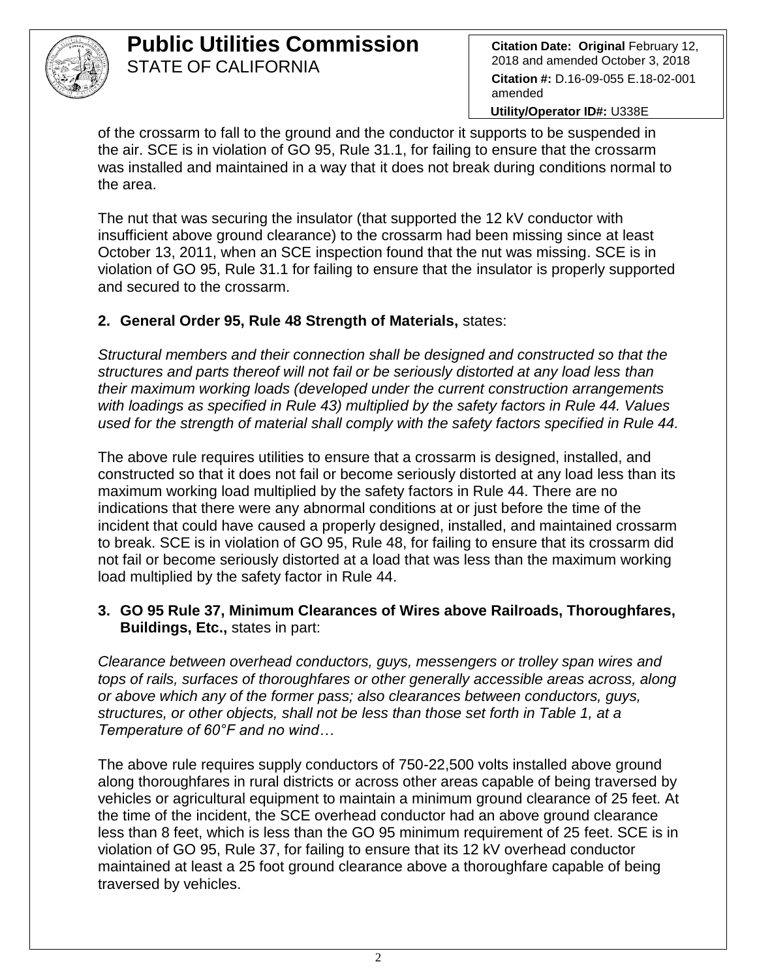

**Citation Date: Original** February 12, 2018 and amended October 3, 2018 **Citation #:** D.16-09-055 E.18-02-001 amended

**Utility/Operator ID#:** U338E

of the crossarm to fall to the ground and the conductor it supports to be suspended in the air. SCE is in violation of GO 95, Rule 31.1, for failing to ensure that the crossarm was installed and maintained in a way that it does not break during conditions normal to the area.

The nut that was securing the insulator (that supported the 12 kV conductor with insufficient above ground clearance) to the crossarm had been missing since at least October 13, 2011, when an SCE inspection found that the nut was missing. SCE is in violation of GO 95, Rule 31.1 for failing to ensure that the insulator is properly supported and secured to the crossarm.

## **2. General Order 95, Rule 48 Strength of Materials,** states:

*Structural members and their connection shall be designed and constructed so that the structures and parts thereof will not fail or be seriously distorted at any load less than their maximum working loads (developed under the current construction arrangements with loadings as specified in Rule 43) multiplied by the safety factors in Rule 44. Values used for the strength of material shall comply with the safety factors specified in Rule 44.*

The above rule requires utilities to ensure that a crossarm is designed, installed, and constructed so that it does not fail or become seriously distorted at any load less than its maximum working load multiplied by the safety factors in Rule 44. There are no indications that there were any abnormal conditions at or just before the time of the incident that could have caused a properly designed, installed, and maintained crossarm to break. SCE is in violation of GO 95, Rule 48, for failing to ensure that its crossarm did not fail or become seriously distorted at a load that was less than the maximum working load multiplied by the safety factor in Rule 44.

#### **3. GO 95 Rule 37, Minimum Clearances of Wires above Railroads, Thoroughfares, Buildings, Etc.,** states in part:

*Clearance between overhead conductors, guys, messengers or trolley span wires and tops of rails, surfaces of thoroughfares or other generally accessible areas across, along or above which any of the former pass; also clearances between conductors, guys, structures, or other objects, shall not be less than those set forth in Table 1, at a Temperature of 60°F and no wind…*

The above rule requires supply conductors of 750-22,500 volts installed above ground along thoroughfares in rural districts or across other areas capable of being traversed by vehicles or agricultural equipment to maintain a minimum ground clearance of 25 feet. At the time of the incident, the SCE overhead conductor had an above ground clearance less than 8 feet, which is less than the GO 95 minimum requirement of 25 feet. SCE is in violation of GO 95, Rule 37, for failing to ensure that its 12 kV overhead conductor maintained at least a 25 foot ground clearance above a thoroughfare capable of being traversed by vehicles.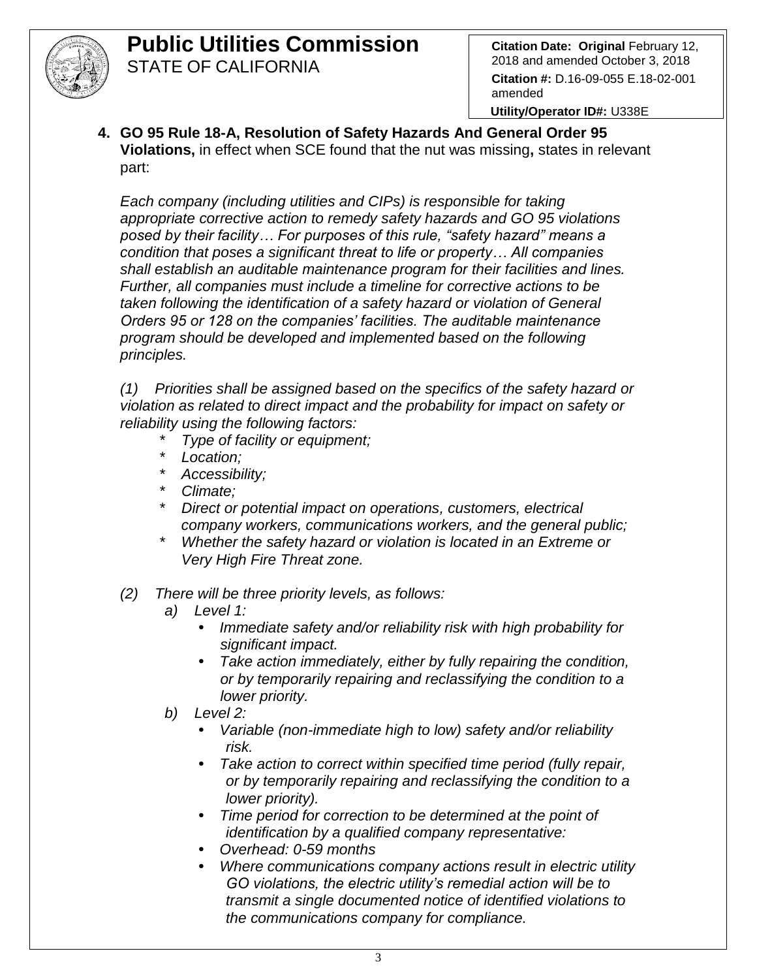

**Utility/Operator ID#:** U338E

**4. GO 95 Rule 18-A, Resolution of Safety Hazards And General Order 95 Violations,** in effect when SCE found that the nut was missing**,** states in relevant part:

*Each company (including utilities and CIPs) is responsible for taking appropriate corrective action to remedy safety hazards and GO 95 violations posed by their facility… For purposes of this rule, "safety hazard" means a condition that poses a significant threat to life or property… All companies shall establish an auditable maintenance program for their facilities and lines. Further, all companies must include a timeline for corrective actions to be taken following the identification of a safety hazard or violation of General Orders 95 or 128 on the companies' facilities. The auditable maintenance program should be developed and implemented based on the following principles.* 

*(1) Priorities shall be assigned based on the specifics of the safety hazard or violation as related to direct impact and the probability for impact on safety or reliability using the following factors:*

- *\* Type of facility or equipment;*
- *\* Location;*
- *\* Accessibility;*
- *\* Climate;*
- *\* Direct or potential impact on operations, customers, electrical company workers, communications workers, and the general public;*
- *\* Whether the safety hazard or violation is located in an Extreme or Very High Fire Threat zone.*
- *(2) There will be three priority levels, as follows:*
	- *a) Level 1:* 
		- *• Immediate safety and/or reliability risk with high probability for significant impact.*
		- *• Take action immediately, either by fully repairing the condition, or by temporarily repairing and reclassifying the condition to a lower priority.*
	- *b) Level 2:*
		- *• Variable (non-immediate high to low) safety and/or reliability risk.*
		- *• Take action to correct within specified time period (fully repair, or by temporarily repairing and reclassifying the condition to a lower priority).*
		- *• Time period for correction to be determined at the point of identification by a qualified company representative:*
		- *• Overhead: 0-59 months*
		- *• Where communications company actions result in electric utility GO violations, the electric utility's remedial action will be to transmit a single documented notice of identified violations to the communications company for compliance.*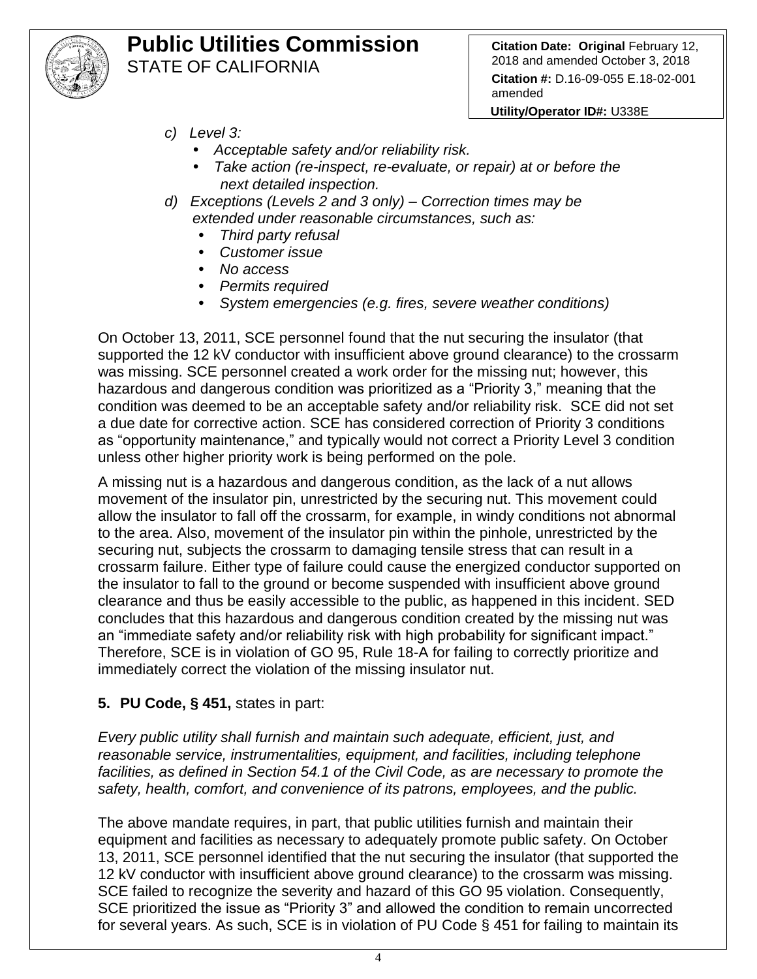

**Citation Date: Original** February 12, 2018 and amended October 3, 2018 **Citation #:** D.16-09-055 E.18-02-001 amended

**Utility/Operator ID#:** U338E

- *c) Level 3:*
	- *• Acceptable safety and/or reliability risk.*
	- *• Take action (re-inspect, re-evaluate, or repair) at or before the next detailed inspection.*
- *d) Exceptions (Levels 2 and 3 only) – Correction times may be extended under reasonable circumstances, such as:*
	- *• Third party refusal*
	- *• Customer issue*
	- *• No access*
	- *• Permits required*
	- *• System emergencies (e.g. fires, severe weather conditions)*

On October 13, 2011, SCE personnel found that the nut securing the insulator (that supported the 12 kV conductor with insufficient above ground clearance) to the crossarm was missing. SCE personnel created a work order for the missing nut; however, this hazardous and dangerous condition was prioritized as a "Priority 3," meaning that the condition was deemed to be an acceptable safety and/or reliability risk. SCE did not set a due date for corrective action. SCE has considered correction of Priority 3 conditions as "opportunity maintenance," and typically would not correct a Priority Level 3 condition unless other higher priority work is being performed on the pole.

A missing nut is a hazardous and dangerous condition, as the lack of a nut allows movement of the insulator pin, unrestricted by the securing nut. This movement could allow the insulator to fall off the crossarm, for example, in windy conditions not abnormal to the area. Also, movement of the insulator pin within the pinhole, unrestricted by the securing nut, subjects the crossarm to damaging tensile stress that can result in a crossarm failure. Either type of failure could cause the energized conductor supported on the insulator to fall to the ground or become suspended with insufficient above ground clearance and thus be easily accessible to the public, as happened in this incident. SED concludes that this hazardous and dangerous condition created by the missing nut was an "immediate safety and/or reliability risk with high probability for significant impact." Therefore, SCE is in violation of GO 95, Rule 18-A for failing to correctly prioritize and immediately correct the violation of the missing insulator nut.

## **5. PU Code, § 451,** states in part:

*Every public utility shall furnish and maintain such adequate, efficient, just, and reasonable service, instrumentalities, equipment, and facilities, including telephone*  facilities, as defined in Section 54.1 of the Civil Code, as are necessary to promote the *safety, health, comfort, and convenience of its patrons, employees, and the public.*

The above mandate requires, in part, that public utilities furnish and maintain their equipment and facilities as necessary to adequately promote public safety. On October 13, 2011, SCE personnel identified that the nut securing the insulator (that supported the 12 kV conductor with insufficient above ground clearance) to the crossarm was missing. SCE failed to recognize the severity and hazard of this GO 95 violation. Consequently, SCE prioritized the issue as "Priority 3" and allowed the condition to remain uncorrected for several years. As such, SCE is in violation of PU Code § 451 for failing to maintain its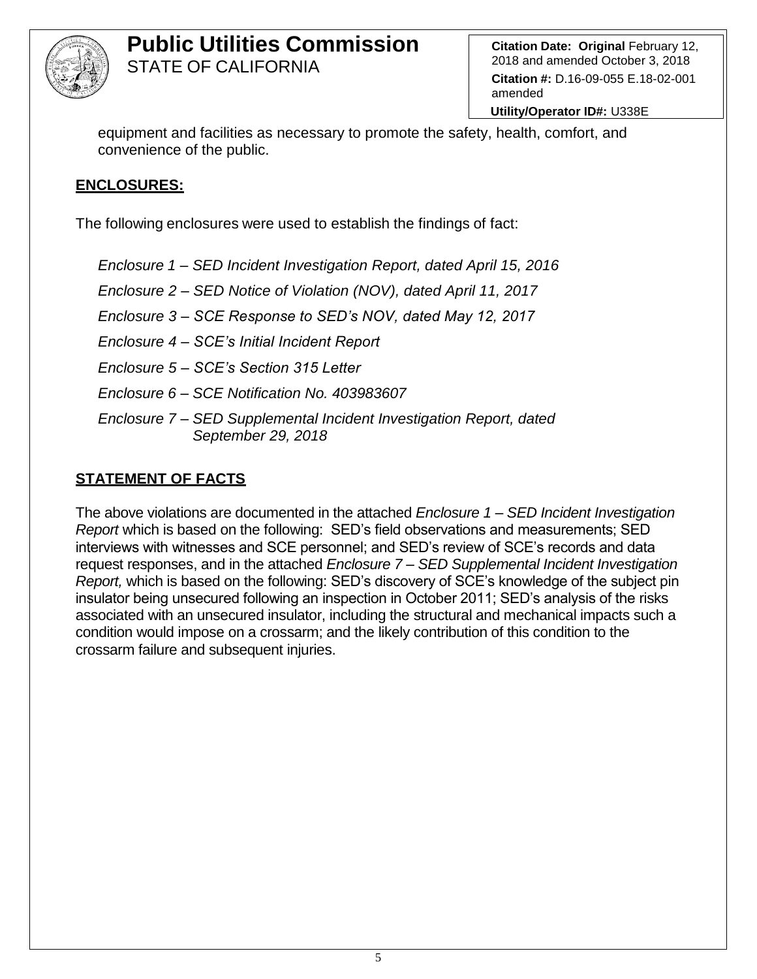

**Citation Date: Original** February 12, 2018 and amended October 3, 2018 **Citation #:** D.16-09-055 E.18-02-001 amended

**Utility/Operator ID#:** U338E

equipment and facilities as necessary to promote the safety, health, comfort, and convenience of the public.

#### **ENCLOSURES:**

The following enclosures were used to establish the findings of fact:

*Enclosure 1 – SED Incident Investigation Report, dated April 15, 2016*

*Enclosure 2 – SED Notice of Violation (NOV), dated April 11, 2017*

*Enclosure 3 – SCE Response to SED's NOV, dated May 12, 2017*

*Enclosure 4 – SCE's Initial Incident Report*

*Enclosure 5 – SCE's Section 315 Letter*

*Enclosure 6* – *SCE Notification No. 403983607*

*Enclosure 7 – SED Supplemental Incident Investigation Report, dated September 29, 2018*

## **STATEMENT OF FACTS**

The above violations are documented in the attached *Enclosure 1 – SED Incident Investigation Report* which is based on the following: SED's field observations and measurements; SED interviews with witnesses and SCE personnel; and SED's review of SCE's records and data request responses, and in the attached *Enclosure 7 – SED Supplemental Incident Investigation Report,* which is based on the following: SED's discovery of SCE's knowledge of the subject pin insulator being unsecured following an inspection in October 2011; SED's analysis of the risks associated with an unsecured insulator, including the structural and mechanical impacts such a condition would impose on a crossarm; and the likely contribution of this condition to the crossarm failure and subsequent injuries.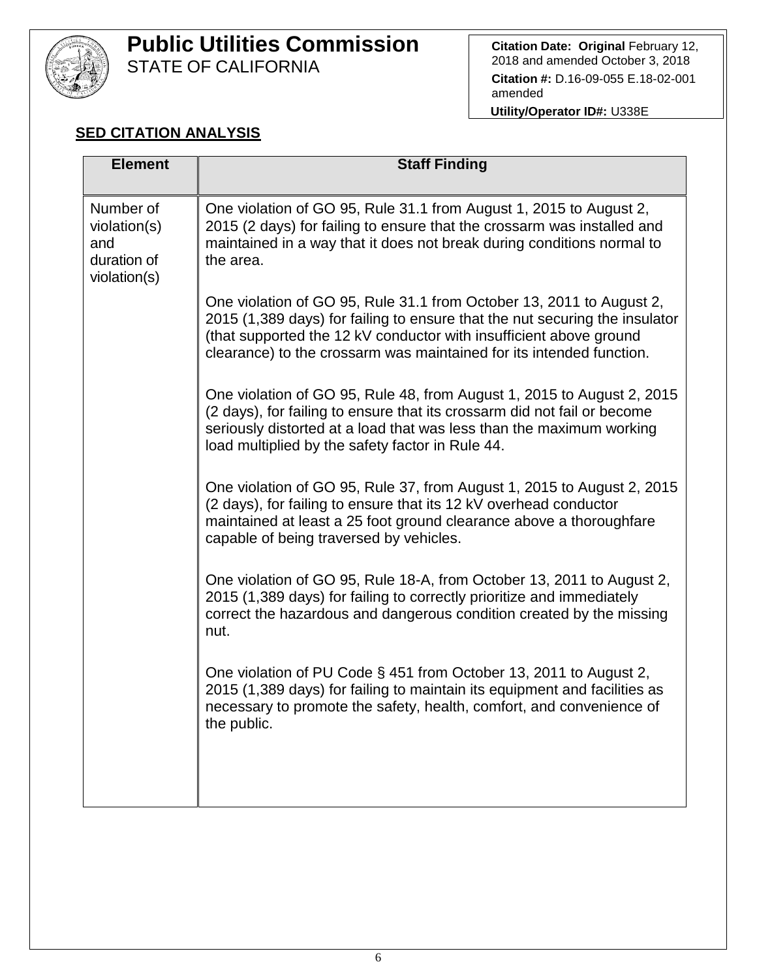

# **Public Utilities Commission**

STATE OF CALIFORNIA

**Citation Date: Original** February 12, 2018 and amended October 3, 2018 **Citation #:** D.16-09-055 E.18-02-001 amended

**Utility/Operator ID#:** U338E

## **SED CITATION ANALYSIS**

| <b>Element</b>                                                  | <b>Staff Finding</b>                                                                                                                                                                                                                                                                              |
|-----------------------------------------------------------------|---------------------------------------------------------------------------------------------------------------------------------------------------------------------------------------------------------------------------------------------------------------------------------------------------|
| Number of<br>violation(s)<br>and<br>duration of<br>violation(s) | One violation of GO 95, Rule 31.1 from August 1, 2015 to August 2,<br>2015 (2 days) for failing to ensure that the crossarm was installed and<br>maintained in a way that it does not break during conditions normal to<br>the area.                                                              |
|                                                                 | One violation of GO 95, Rule 31.1 from October 13, 2011 to August 2,<br>2015 (1,389 days) for failing to ensure that the nut securing the insulator<br>(that supported the 12 kV conductor with insufficient above ground<br>clearance) to the crossarm was maintained for its intended function. |
|                                                                 | One violation of GO 95, Rule 48, from August 1, 2015 to August 2, 2015<br>(2 days), for failing to ensure that its crossarm did not fail or become<br>seriously distorted at a load that was less than the maximum working<br>load multiplied by the safety factor in Rule 44.                    |
|                                                                 | One violation of GO 95, Rule 37, from August 1, 2015 to August 2, 2015<br>(2 days), for failing to ensure that its 12 kV overhead conductor<br>maintained at least a 25 foot ground clearance above a thoroughfare<br>capable of being traversed by vehicles.                                     |
|                                                                 | One violation of GO 95, Rule 18-A, from October 13, 2011 to August 2,<br>2015 (1,389 days) for failing to correctly prioritize and immediately<br>correct the hazardous and dangerous condition created by the missing<br>nut.                                                                    |
|                                                                 | One violation of PU Code § 451 from October 13, 2011 to August 2,<br>2015 (1,389 days) for failing to maintain its equipment and facilities as<br>necessary to promote the safety, health, comfort, and convenience of<br>the public.                                                             |
|                                                                 |                                                                                                                                                                                                                                                                                                   |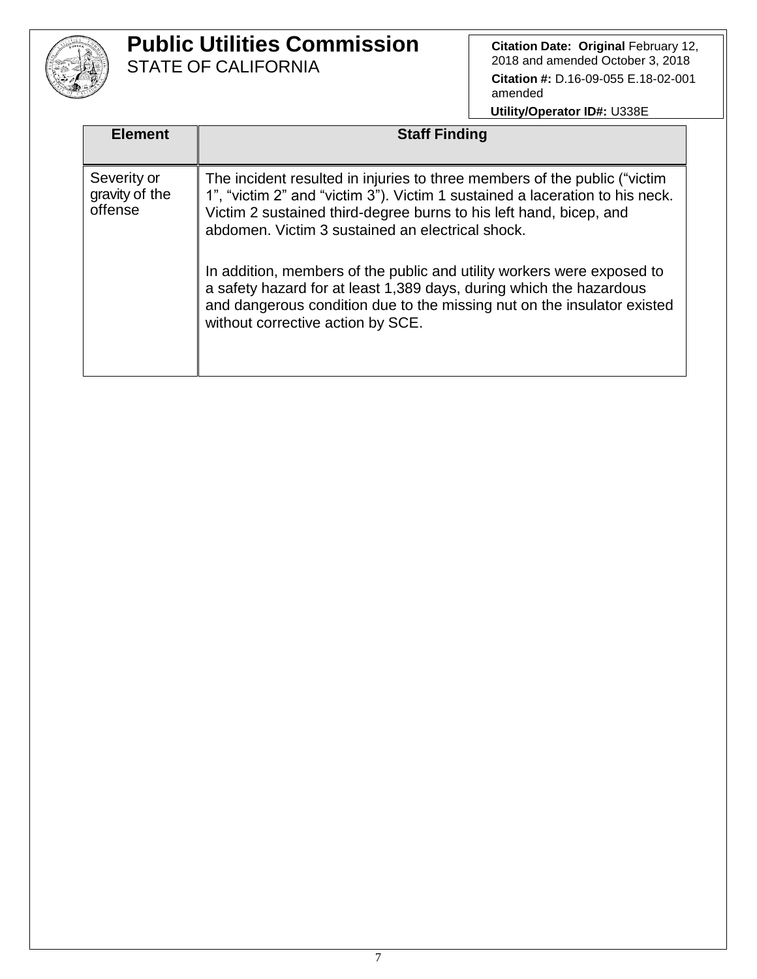

**Citation Date: Original February 12,** 2018 and amended October 3, 2018 **Citation #:** D.16-09-055 E.18-02-001 amended

| <b>Element</b>                           | <b>Staff Finding</b>                                                                                                                                                                                                                                                                                                                                                                                                                                                                                                                                 |
|------------------------------------------|------------------------------------------------------------------------------------------------------------------------------------------------------------------------------------------------------------------------------------------------------------------------------------------------------------------------------------------------------------------------------------------------------------------------------------------------------------------------------------------------------------------------------------------------------|
| Severity or<br>gravity of the<br>offense | The incident resulted in injuries to three members of the public ("victim<br>1", "victim 2" and "victim 3"). Victim 1 sustained a laceration to his neck.<br>Victim 2 sustained third-degree burns to his left hand, bicep, and<br>abdomen. Victim 3 sustained an electrical shock.<br>In addition, members of the public and utility workers were exposed to<br>a safety hazard for at least 1,389 days, during which the hazardous<br>and dangerous condition due to the missing nut on the insulator existed<br>without corrective action by SCE. |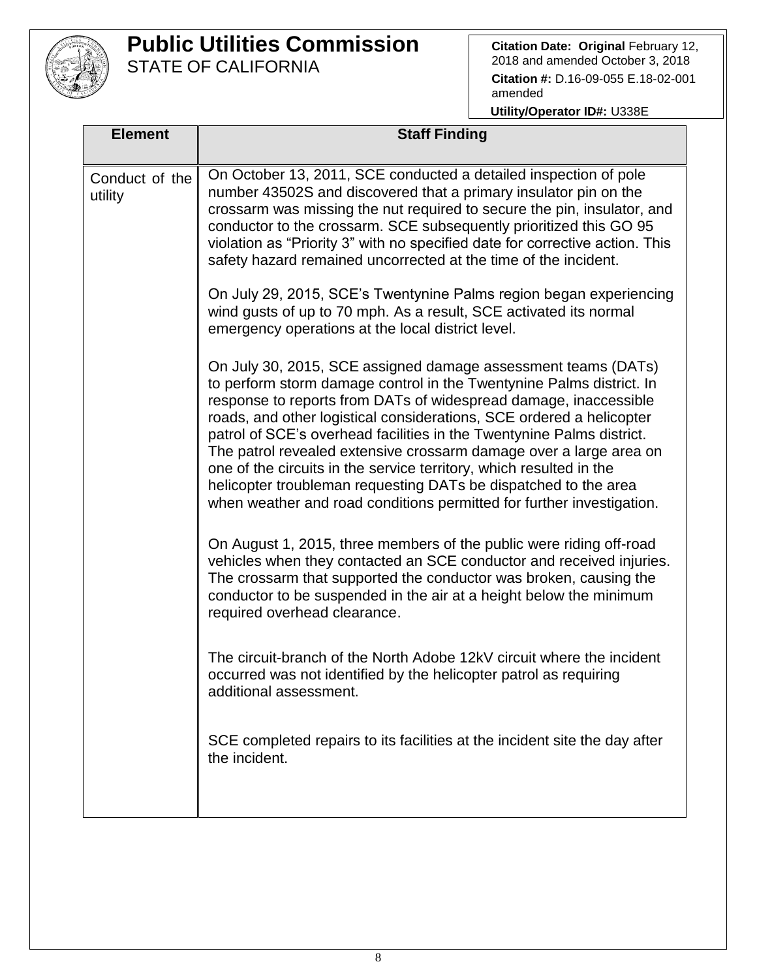

**Citation Date: Original February 12,** 2018 and amended October 3, 2018 **Citation #:** D.16-09-055 E.18-02-001 amended

| <b>Element</b>            | <b>Staff Finding</b>                                                                                                                                                                                                                                                                                                                                                                                                                                                                                                                                                                                                                                                                                     |  |  |
|---------------------------|----------------------------------------------------------------------------------------------------------------------------------------------------------------------------------------------------------------------------------------------------------------------------------------------------------------------------------------------------------------------------------------------------------------------------------------------------------------------------------------------------------------------------------------------------------------------------------------------------------------------------------------------------------------------------------------------------------|--|--|
| Conduct of the<br>utility | On October 13, 2011, SCE conducted a detailed inspection of pole<br>number 43502S and discovered that a primary insulator pin on the<br>crossarm was missing the nut required to secure the pin, insulator, and<br>conductor to the crossarm. SCE subsequently prioritized this GO 95<br>violation as "Priority 3" with no specified date for corrective action. This<br>safety hazard remained uncorrected at the time of the incident.<br>On July 29, 2015, SCE's Twentynine Palms region began experiencing<br>wind gusts of up to 70 mph. As a result, SCE activated its normal                                                                                                                      |  |  |
|                           | emergency operations at the local district level.<br>On July 30, 2015, SCE assigned damage assessment teams (DATs)<br>to perform storm damage control in the Twentynine Palms district. In<br>response to reports from DATs of widespread damage, inaccessible<br>roads, and other logistical considerations, SCE ordered a helicopter<br>patrol of SCE's overhead facilities in the Twentynine Palms district.<br>The patrol revealed extensive crossarm damage over a large area on<br>one of the circuits in the service territory, which resulted in the<br>helicopter troubleman requesting DATs be dispatched to the area<br>when weather and road conditions permitted for further investigation. |  |  |
|                           | On August 1, 2015, three members of the public were riding off-road<br>vehicles when they contacted an SCE conductor and received injuries.<br>The crossarm that supported the conductor was broken, causing the<br>conductor to be suspended in the air at a height below the minimum<br>required overhead clearance.                                                                                                                                                                                                                                                                                                                                                                                   |  |  |
|                           | The circuit-branch of the North Adobe 12kV circuit where the incident<br>occurred was not identified by the helicopter patrol as requiring<br>additional assessment.                                                                                                                                                                                                                                                                                                                                                                                                                                                                                                                                     |  |  |
|                           | SCE completed repairs to its facilities at the incident site the day after<br>the incident.                                                                                                                                                                                                                                                                                                                                                                                                                                                                                                                                                                                                              |  |  |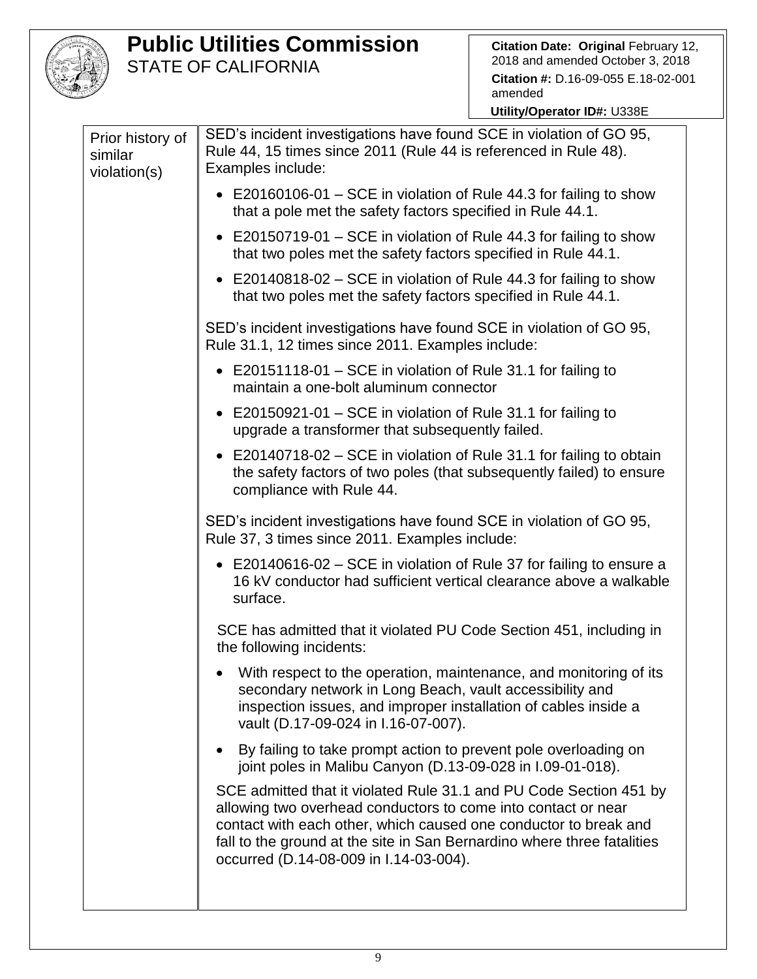

| Prior history of<br>similar<br>violation(s) | SED's incident investigations have found SCE in violation of GO 95,<br>Rule 44, 15 times since 2011 (Rule 44 is referenced in Rule 48).<br>Examples include:                                                                                                                                                                 |
|---------------------------------------------|------------------------------------------------------------------------------------------------------------------------------------------------------------------------------------------------------------------------------------------------------------------------------------------------------------------------------|
|                                             | • E20160106-01 – SCE in violation of Rule 44.3 for failing to show<br>that a pole met the safety factors specified in Rule 44.1.                                                                                                                                                                                             |
|                                             | • E20150719-01 – SCE in violation of Rule 44.3 for failing to show<br>that two poles met the safety factors specified in Rule 44.1.                                                                                                                                                                                          |
|                                             | • E20140818-02 – SCE in violation of Rule 44.3 for failing to show<br>that two poles met the safety factors specified in Rule 44.1.                                                                                                                                                                                          |
|                                             | SED's incident investigations have found SCE in violation of GO 95,<br>Rule 31.1, 12 times since 2011. Examples include:                                                                                                                                                                                                     |
|                                             | • E20151118-01 – SCE in violation of Rule 31.1 for failing to<br>maintain a one-bolt aluminum connector                                                                                                                                                                                                                      |
|                                             | E20150921-01 – SCE in violation of Rule 31.1 for failing to<br>upgrade a transformer that subsequently failed.                                                                                                                                                                                                               |
|                                             | E20140718-02 – SCE in violation of Rule 31.1 for failing to obtain<br>the safety factors of two poles (that subsequently failed) to ensure<br>compliance with Rule 44.                                                                                                                                                       |
|                                             | SED's incident investigations have found SCE in violation of GO 95,<br>Rule 37, 3 times since 2011. Examples include:                                                                                                                                                                                                        |
|                                             | • E20140616-02 – SCE in violation of Rule 37 for failing to ensure a<br>16 kV conductor had sufficient vertical clearance above a walkable<br>surface.                                                                                                                                                                       |
|                                             | SCE has admitted that it violated PU Code Section 451, including in<br>the following incidents:                                                                                                                                                                                                                              |
|                                             | With respect to the operation, maintenance, and monitoring of its<br>secondary network in Long Beach, vault accessibility and<br>inspection issues, and improper installation of cables inside a<br>vault (D.17-09-024 in I.16-07-007).                                                                                      |
|                                             | By failing to take prompt action to prevent pole overloading on<br>$\bullet$<br>joint poles in Malibu Canyon (D.13-09-028 in I.09-01-018).                                                                                                                                                                                   |
|                                             | SCE admitted that it violated Rule 31.1 and PU Code Section 451 by<br>allowing two overhead conductors to come into contact or near<br>contact with each other, which caused one conductor to break and<br>fall to the ground at the site in San Bernardino where three fatalities<br>occurred (D.14-08-009 in I.14-03-004). |
|                                             |                                                                                                                                                                                                                                                                                                                              |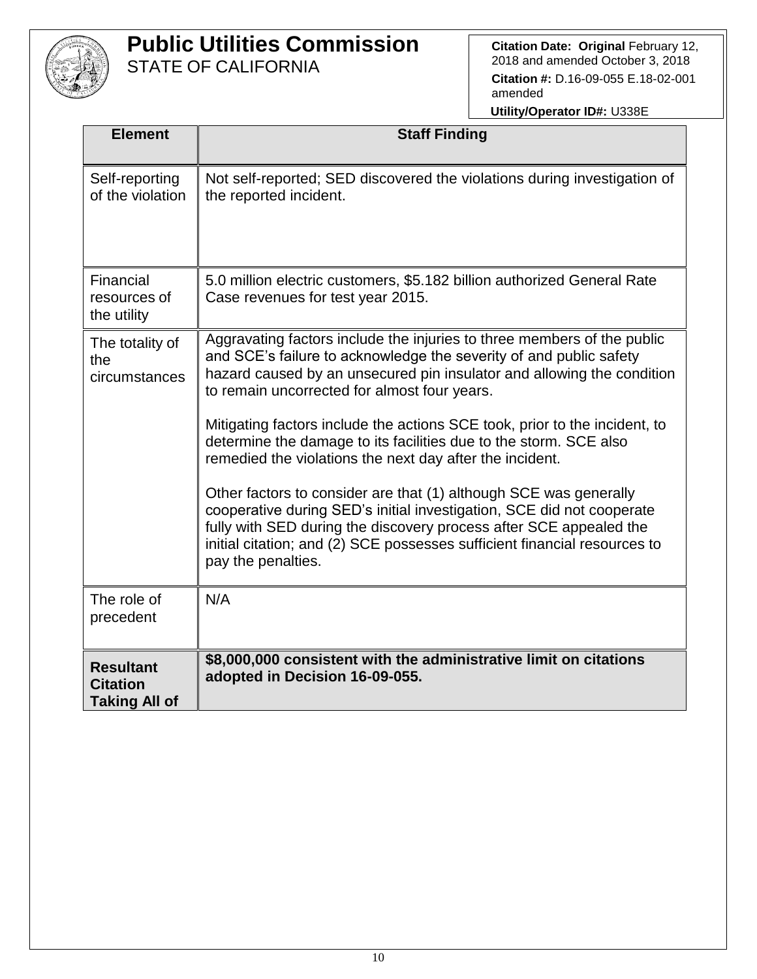

**Citation Date: Original February 12,** 2018 and amended October 3, 2018 **Citation #:** D.16-09-055 E.18-02-001 amended

| <b>Element</b>                                              | <b>Staff Finding</b>                                                                                                                                                                                                                                                                                                                                                                                                                                                                                                                                                                                                                                                                                                                                                                                          |
|-------------------------------------------------------------|---------------------------------------------------------------------------------------------------------------------------------------------------------------------------------------------------------------------------------------------------------------------------------------------------------------------------------------------------------------------------------------------------------------------------------------------------------------------------------------------------------------------------------------------------------------------------------------------------------------------------------------------------------------------------------------------------------------------------------------------------------------------------------------------------------------|
| Self-reporting<br>of the violation                          | Not self-reported; SED discovered the violations during investigation of<br>the reported incident.                                                                                                                                                                                                                                                                                                                                                                                                                                                                                                                                                                                                                                                                                                            |
| Financial<br>resources of<br>the utility                    | 5.0 million electric customers, \$5.182 billion authorized General Rate<br>Case revenues for test year 2015.                                                                                                                                                                                                                                                                                                                                                                                                                                                                                                                                                                                                                                                                                                  |
| The totality of<br>the<br>circumstances                     | Aggravating factors include the injuries to three members of the public<br>and SCE's failure to acknowledge the severity of and public safety<br>hazard caused by an unsecured pin insulator and allowing the condition<br>to remain uncorrected for almost four years.<br>Mitigating factors include the actions SCE took, prior to the incident, to<br>determine the damage to its facilities due to the storm. SCE also<br>remedied the violations the next day after the incident.<br>Other factors to consider are that (1) although SCE was generally<br>cooperative during SED's initial investigation, SCE did not cooperate<br>fully with SED during the discovery process after SCE appealed the<br>initial citation; and (2) SCE possesses sufficient financial resources to<br>pay the penalties. |
| The role of<br>precedent                                    | N/A                                                                                                                                                                                                                                                                                                                                                                                                                                                                                                                                                                                                                                                                                                                                                                                                           |
| <b>Resultant</b><br><b>Citation</b><br><b>Taking All of</b> | \$8,000,000 consistent with the administrative limit on citations<br>adopted in Decision 16-09-055.                                                                                                                                                                                                                                                                                                                                                                                                                                                                                                                                                                                                                                                                                                           |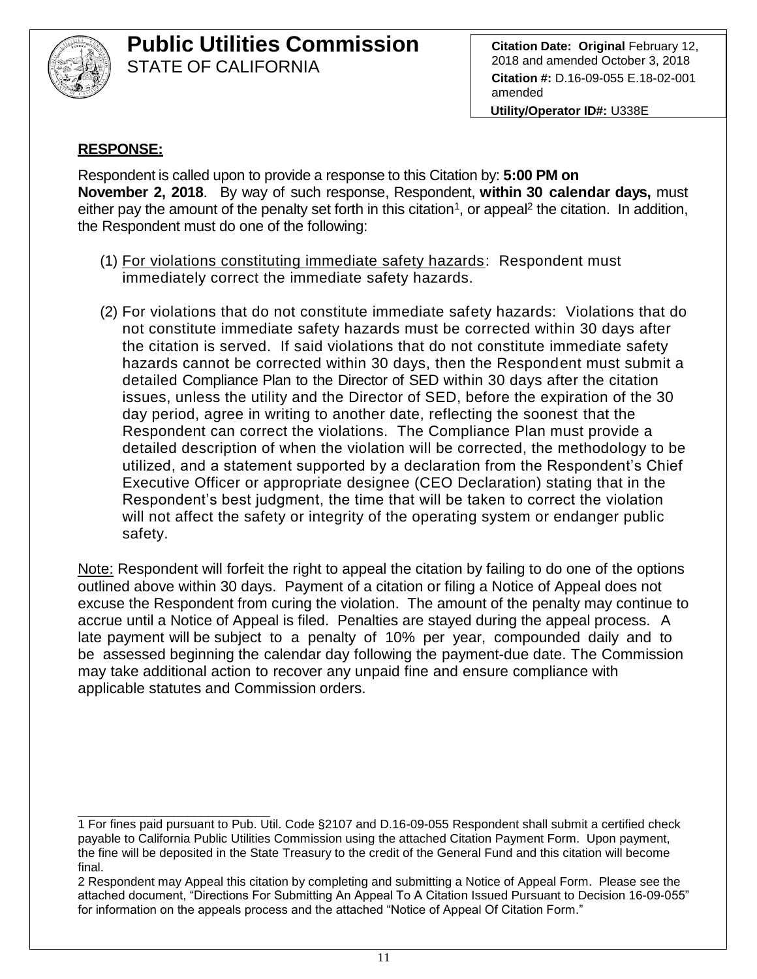

**Citation Date: Original** February 12, 2018 and amended October 3, 2018 **Citation #:** D.16-09-055 E.18-02-001 amended

**Utility/Operator ID#:** U338E

#### **RESPONSE:**

Respondent is called upon to provide a response to this Citation by: **5:00 PM on November 2, 2018**. By way of such response, Respondent, **within 30 calendar days,** must either pay the amount of the penalty set forth in this citation<sup>1</sup>, or appeal<sup>2</sup> the citation. In addition, the Respondent must do one of the following:

- (1) For violations constituting immediate safety hazards: Respondent must immediately correct the immediate safety hazards.
- (2) For violations that do not constitute immediate safety hazards: Violations that do not constitute immediate safety hazards must be corrected within 30 days after the citation is served. If said violations that do not constitute immediate safety hazards cannot be corrected within 30 days, then the Respondent must submit a detailed Compliance Plan to the Director of SED within 30 days after the citation issues, unless the utility and the Director of SED, before the expiration of the 30 day period, agree in writing to another date, reflecting the soonest that the Respondent can correct the violations. The Compliance Plan must provide a detailed description of when the violation will be corrected, the methodology to be utilized, and a statement supported by a declaration from the Respondent's Chief Executive Officer or appropriate designee (CEO Declaration) stating that in the Respondent's best judgment, the time that will be taken to correct the violation will not affect the safety or integrity of the operating system or endanger public safety.

Note: Respondent will forfeit the right to appeal the citation by failing to do one of the options outlined above within 30 days. Payment of a citation or filing a Notice of Appeal does not excuse the Respondent from curing the violation. The amount of the penalty may continue to accrue until a Notice of Appeal is filed. Penalties are stayed during the appeal process. A late payment will be subject to a penalty of 10% per year, compounded daily and to be assessed beginning the calendar day following the payment-due date. The Commission may take additional action to recover any unpaid fine and ensure compliance with applicable statutes and Commission orders.

\_\_\_\_\_\_\_\_\_\_\_\_\_\_\_\_\_\_\_\_\_\_\_\_\_\_\_\_ 1 For fines paid pursuant to Pub. Util. Code §2107 and D.16-09-055 Respondent shall submit a certified check payable to California Public Utilities Commission using the attached Citation Payment Form. Upon payment, the fine will be deposited in the State Treasury to the credit of the General Fund and this citation will become final.

<sup>2</sup> Respondent may Appeal this citation by completing and submitting a Notice of Appeal Form. Please see the attached document, "Directions For Submitting An Appeal To A Citation Issued Pursuant to Decision 16-09-055" for information on the appeals process and the attached "Notice of Appeal Of Citation Form."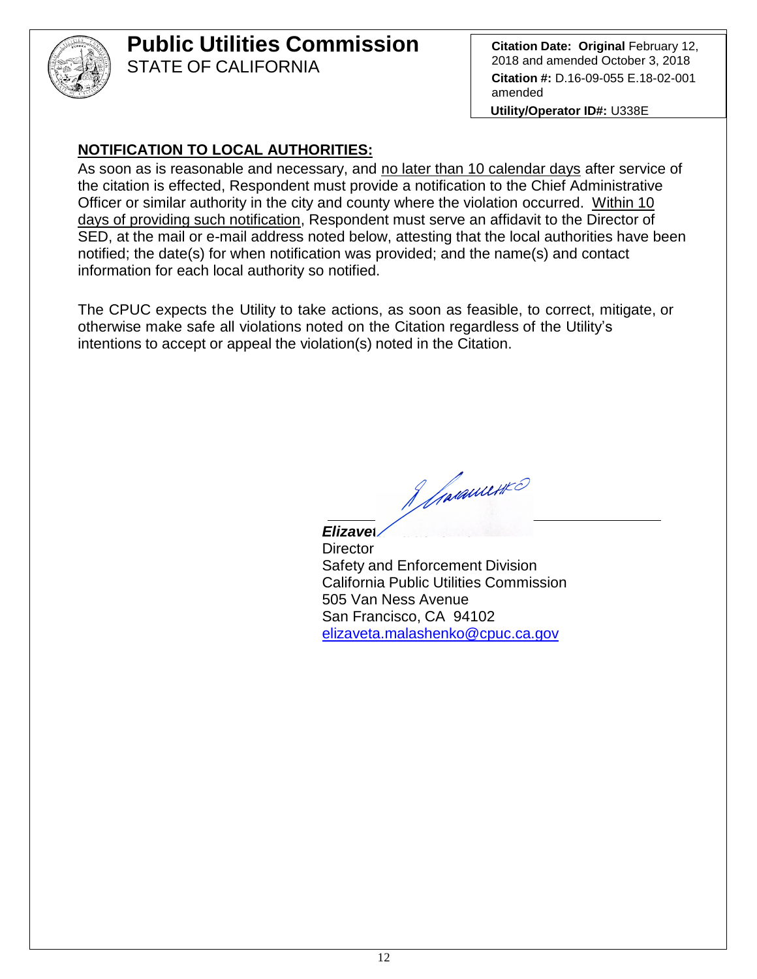

# **Public Utilities Commission**

STATE OF CALIFORNIA

**Citation Date: Original** February 12, 2018 and amended October 3, 2018 **Citation #:** D.16-09-055 E.18-02-001 amended

**Utility/Operator ID#:** U338E

## **NOTIFICATION TO LOCAL AUTHORITIES:**

As soon as is reasonable and necessary, and no later than 10 calendar days after service of the citation is effected, Respondent must provide a notification to the Chief Administrative Officer or similar authority in the city and county where the violation occurred. Within 10 days of providing such notification, Respondent must serve an affidavit to the Director of SED, at the mail or e-mail address noted below, attesting that the local authorities have been notified; the date(s) for when notification was provided; and the name(s) and contact information for each local authority so notified.

The CPUC expects the Utility to take actions, as soon as feasible, to correct, mitigate, or otherwise make safe all violations noted on the Citation regardless of the Utility's intentions to accept or appeal the violation(s) noted in the Citation.

J Jacquette

*Elizaveta Malashenko* **Director** Safety and Enforcement Division California Public Utilities Commission 505 Van Ness Avenue San Francisco, CA 94102 elizaveta.malashenko@cpuc.ca.gov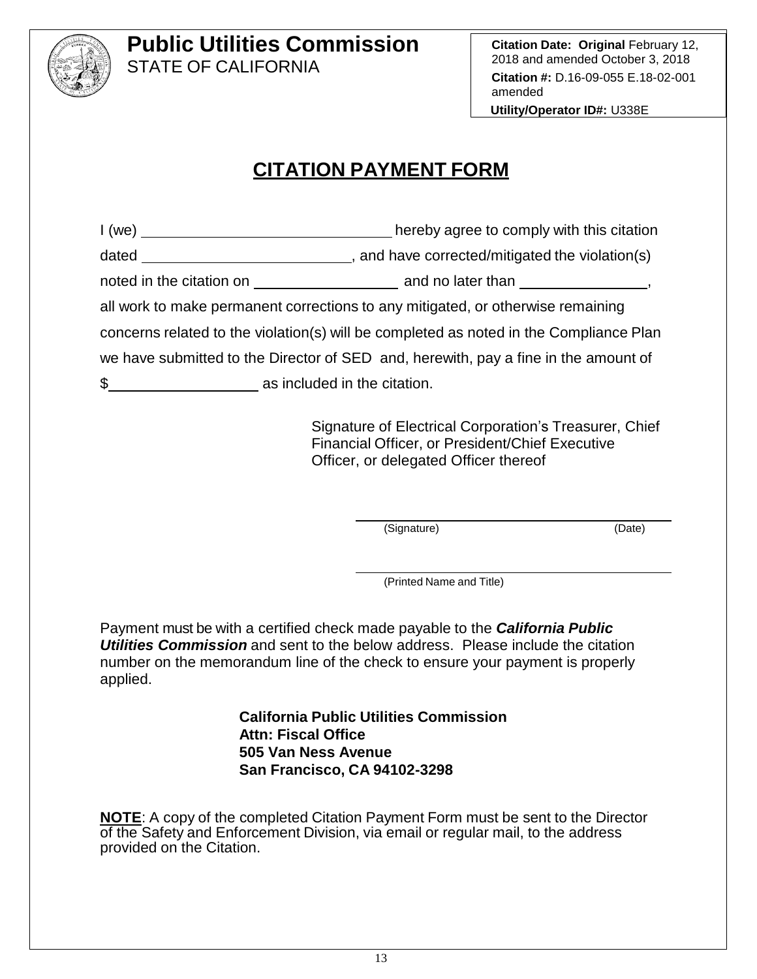

**Citation Date: Original February 12,** 2018 and amended October 3, 2018 **Citation #:** D.16-09-055 E.18-02-001 amended **Utility/Operator ID#:** U338E

# **CITATION PAYMENT FORM**

| 1 (we)                                        | hereby agree to comply with this citation                                              |  |
|-----------------------------------------------|----------------------------------------------------------------------------------------|--|
|                                               |                                                                                        |  |
|                                               |                                                                                        |  |
|                                               | all work to make permanent corrections to any mitigated, or otherwise remaining        |  |
|                                               | concerns related to the violation(s) will be completed as noted in the Compliance Plan |  |
|                                               | we have submitted to the Director of SED and, herewith, pay a fine in the amount of    |  |
| $\frac{1}{2}$<br>as included in the citation. |                                                                                        |  |

Signature of Electrical Corporation's Treasurer, Chief Financial Officer, or President/Chief Executive Officer, or delegated Officer thereof

(Signature) (Date)

(Printed Name and Title)

Payment must be with a certified check made payable to the *California Public Utilities Commission* and sent to the below address. Please include the citation number on the memorandum line of the check to ensure your payment is properly applied.

> **California Public Utilities Commission Attn: Fiscal Office 505 Van Ness Avenue San Francisco, CA 94102-3298**

**NOTE**: A copy of the completed Citation Payment Form must be sent to the Director of the Safety and Enforcement Division, via email or regular mail, to the address provided on the Citation.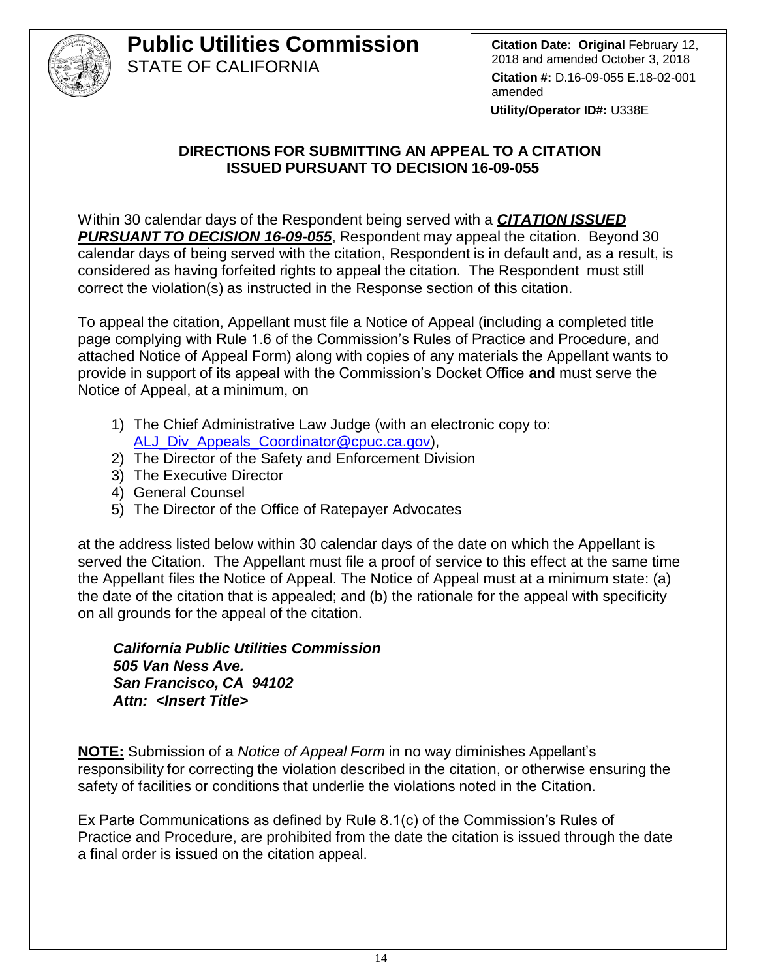

## **DIRECTIONS FOR SUBMITTING AN APPEAL TO A CITATION ISSUED PURSUANT TO DECISION 16-09-055**

Within 30 calendar days of the Respondent being served with a *CITATION ISSUED PURSUANT TO DECISION 16-09-055*, Respondent may appeal the citation. Beyond 30 calendar days of being served with the citation, Respondent is in default and, as a result, is considered as having forfeited rights to appeal the citation. The Respondent must still correct the violation(s) as instructed in the Response section of this citation.

To appeal the citation, Appellant must file a Notice of Appeal (including a completed title page complying with Rule 1.6 of the Commission's Rules of Practice and Procedure, and attached Notice of Appeal Form) along with copies of any materials the Appellant wants to provide in support of its appeal with the Commission's Docket Office **and** must serve the Notice of Appeal, at a minimum, on

- 1) The Chief Administrative Law Judge (with an electronic copy to: [ALJ\\_Div\\_Appeals\\_Coordinator@cpuc.ca.gov\)](mailto:ALJ_Div_Appeals_Coordinator@cpuc.ca.gov),
- 2) The Director of the Safety and Enforcement Division
- 3) The Executive Director
- 4) General Counsel
- 5) The Director of the Office of Ratepayer Advocates

at the address listed below within 30 calendar days of the date on which the Appellant is served the Citation. The Appellant must file a proof of service to this effect at the same time the Appellant files the Notice of Appeal. The Notice of Appeal must at a minimum state: (a) the date of the citation that is appealed; and (b) the rationale for the appeal with specificity on all grounds for the appeal of the citation.

*California Public Utilities Commission 505 Van Ness Ave. San Francisco, CA 94102 Attn: <Insert Title>*

**NOTE:** Submission of a *Notice of Appeal Form* in no way diminishes Appellant's responsibility for correcting the violation described in the citation, or otherwise ensuring the safety of facilities or conditions that underlie the violations noted in the Citation.

Ex Parte Communications as defined by Rule 8.1(c) of the Commission's Rules of Practice and Procedure, are prohibited from the date the citation is issued through the date a final order is issued on the citation appeal.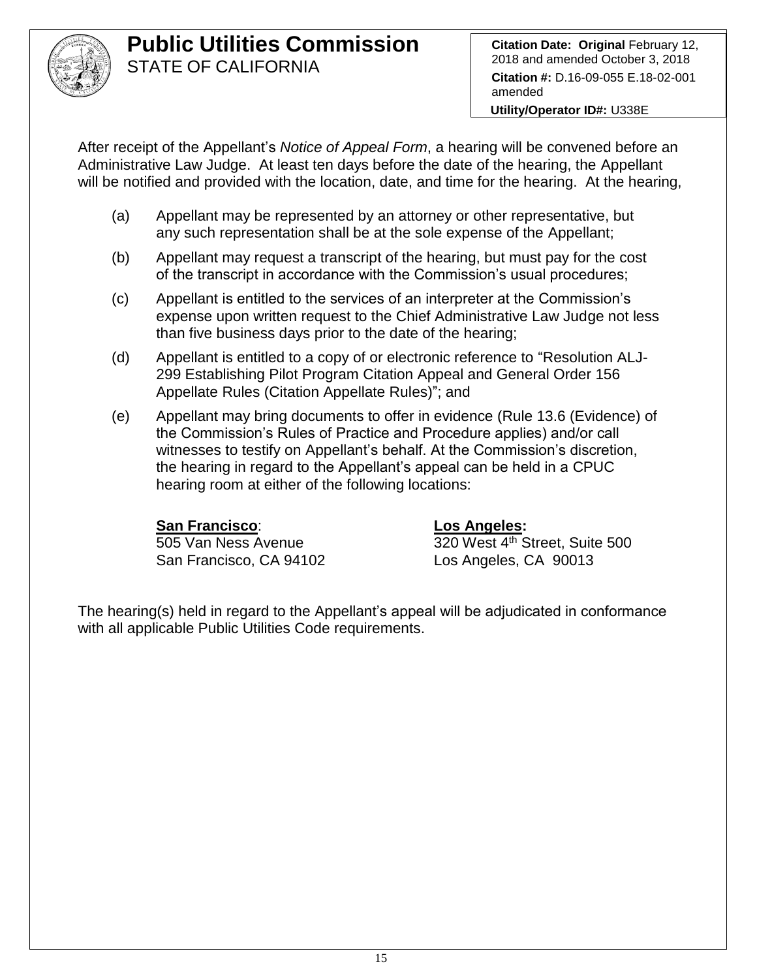

**Citation Date: Original February 12,** 2018 and amended October 3, 2018 **Citation #:** D.16-09-055 E.18-02-001 amended

**Utility/Operator ID#:** U338E

After receipt of the Appellant's *Notice of Appeal Form*, a hearing will be convened before an Administrative Law Judge. At least ten days before the date of the hearing, the Appellant will be notified and provided with the location, date, and time for the hearing. At the hearing,

- (a) Appellant may be represented by an attorney or other representative, but any such representation shall be at the sole expense of the Appellant;
- (b) Appellant may request a transcript of the hearing, but must pay for the cost of the transcript in accordance with the Commission's usual procedures;
- (c) Appellant is entitled to the services of an interpreter at the Commission's expense upon written request to the Chief Administrative Law Judge not less than five business days prior to the date of the hearing;
- (d) Appellant is entitled to a copy of or electronic reference to "Resolution ALJ-299 Establishing Pilot Program Citation Appeal and General Order 156 Appellate Rules (Citation Appellate Rules)"; and
- (e) Appellant may bring documents to offer in evidence (Rule 13.6 (Evidence) of the Commission's Rules of Practice and Procedure applies) and/or call witnesses to testify on Appellant's behalf. At the Commission's discretion, the hearing in regard to the Appellant's appeal can be held in a CPUC hearing room at either of the following locations:

## **San Francisco**: **Los Angeles:**

San Francisco, CA 94102 Los Angeles, CA 90013

505 Van Ness Avenue 320 West 4th Street, Suite 500

The hearing(s) held in regard to the Appellant's appeal will be adjudicated in conformance with all applicable Public Utilities Code requirements.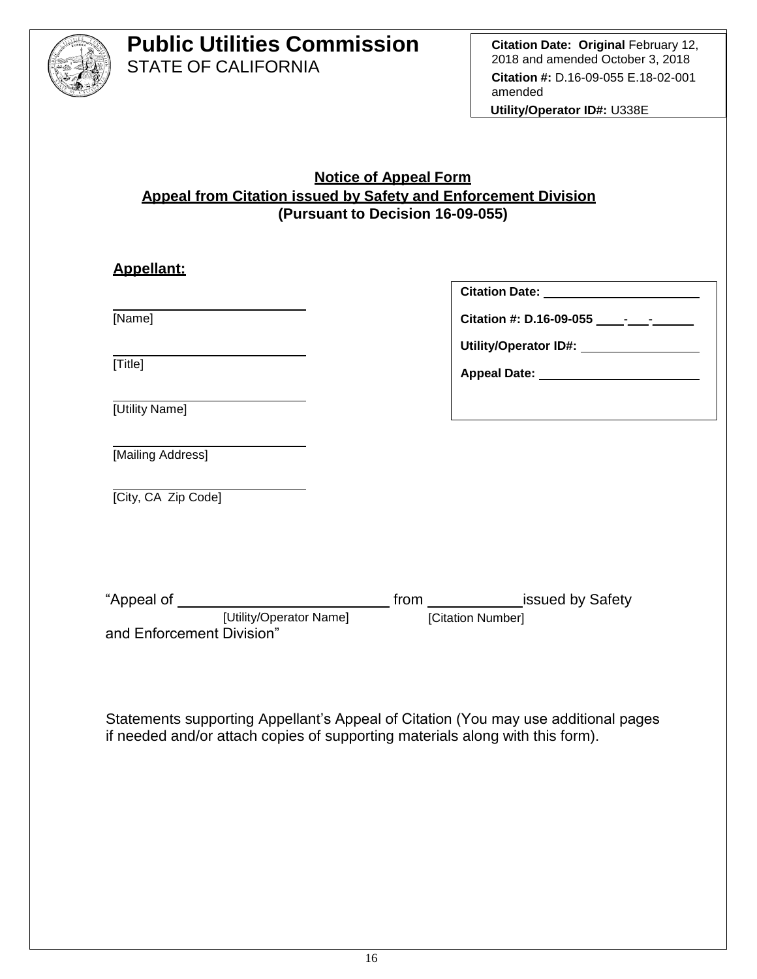

#### **Notice of Appeal Form Appeal from Citation issued by Safety and Enforcement Division (Pursuant to Decision 16-09-055)**

| <b>Appellant:</b>         |                                           |                                                                                                      |  |
|---------------------------|-------------------------------------------|------------------------------------------------------------------------------------------------------|--|
|                           |                                           | Citation Date: _________________________                                                             |  |
| [Name]                    |                                           |                                                                                                      |  |
|                           |                                           | Utility/Operator ID#: \\square\\sqrtD#!\\sqrtD#!\\sqrtD#!\\sqrtD#!\\sqrtD#!\\sqrtD#!\\sqrtD#!\\sqrtD |  |
| [Title]                   |                                           | Appeal Date: ___________________________                                                             |  |
| [Utility Name]            |                                           |                                                                                                      |  |
| [Mailing Address]         |                                           |                                                                                                      |  |
| [City, CA Zip Code]       |                                           |                                                                                                      |  |
|                           |                                           |                                                                                                      |  |
|                           |                                           |                                                                                                      |  |
|                           |                                           |                                                                                                      |  |
| and Enforcement Division" | [Utility/Operator Name] [Citation Number] |                                                                                                      |  |
|                           |                                           |                                                                                                      |  |

Statements supporting Appellant's Appeal of Citation (You may use additional pages if needed and/or attach copies of supporting materials along with this form).